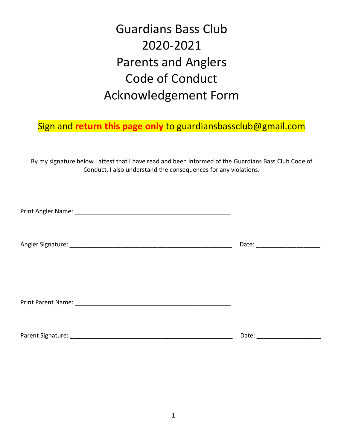# Guardians Bass Club 2020-2021 Parents and Anglers Code of Conduct Acknowledgement Form

# Sign and **return this page only** to guardiansbassclub@gmail.com

By my signature below I attest that I have read and been informed of the Guardians Bass Club Code of Conduct. I also understand the consequences for any violations.

Print Angler Name: \_\_\_\_\_\_\_\_\_\_\_\_\_\_\_\_\_\_\_\_\_\_\_\_\_\_\_\_\_\_\_\_\_\_\_\_\_\_\_\_\_\_\_\_\_\_

Angler Signature: \_\_\_\_\_\_\_\_\_\_\_\_\_\_\_\_\_\_\_\_\_\_\_\_\_\_\_\_\_\_\_\_\_\_\_\_\_\_\_\_\_\_\_\_\_\_\_\_ Date: \_\_\_\_\_\_\_\_\_\_\_\_\_\_\_\_\_\_\_

Print Parent Name: **Example 20** and the set of the set of the set of the set of the set of the set of the set of the set of the set of the set of the set of the set of the set of the set of the set of the set of the set of

Parent Signature: \_\_\_\_\_\_\_\_\_\_\_\_\_\_\_\_\_\_\_\_\_\_\_\_\_\_\_\_\_\_\_\_\_\_\_\_\_\_\_\_\_\_\_\_\_\_\_\_ Date: \_\_\_\_\_\_\_\_\_\_\_\_\_\_\_\_\_\_\_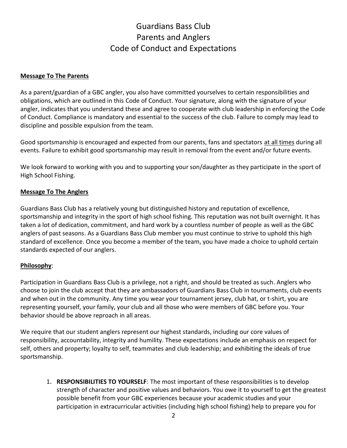# Guardians Bass Club Parents and Anglers Code of Conduct and Expectations

#### **Message To The Parents**

As a parent/guardian of a GBC angler, you also have committed yourselves to certain responsibilities and obligations, which are outlined in this Code of Conduct. Your signature, along with the signature of your angler, indicates that you understand these and agree to cooperate with club leadership in enforcing the Code of Conduct. Compliance is mandatory and essential to the success of the club. Failure to comply may lead to discipline and possible expulsion from the team.

Good sportsmanship is encouraged and expected from our parents, fans and spectators at all times during all events. Failure to exhibit good sportsmanship may result in removal from the event and/or future events.

We look forward to working with you and to supporting your son/daughter as they participate in the sport of High School Fishing.

#### **Message To The Anglers**

Guardians Bass Club has a relatively young but distinguished history and reputation of excellence, sportsmanship and integrity in the sport of high school fishing. This reputation was not built overnight. It has taken a lot of dedication, commitment, and hard work by a countless number of people as well as the GBC anglers of past seasons. As a Guardians Bass Club member you must continue to strive to uphold this high standard of excellence. Once you become a member of the team, you have made a choice to uphold certain standards expected of our anglers.

#### **Philosophy**:

Participation in Guardians Bass Club is a privilege, not a right, and should be treated as such. Anglers who choose to join the club accept that they are ambassadors of Guardians Bass Club in tournaments, club events and when out in the community. Any time you wear your tournament jersey, club hat, or t-shirt, you are representing yourself, your family, your club and all those who were members of GBC before you. Your behavior should be above reproach in all areas.

We require that our student anglers represent our highest standards, including our core values of responsibility, accountability, integrity and humility. These expectations include an emphasis on respect for self, others and property; loyalty to self, teammates and club leadership; and exhibiting the ideals of true sportsmanship.

1. **RESPONSIBILITIES TO YOURSELF**: The most important of these responsibilities is to develop strength of character and positive values and behaviors. You owe it to yourself to get the greatest possible benefit from your GBC experiences because your academic studies and your participation in extracurricular activities (including high school fishing) help to prepare you for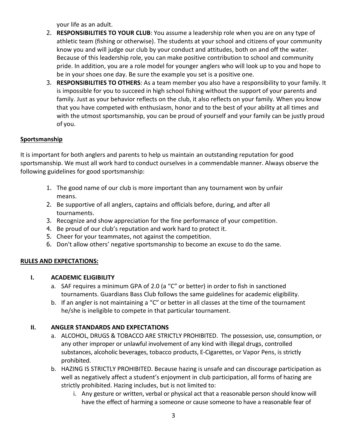your life as an adult.

- 2. **RESPONSIBILITIES TO YOUR CLUB**: You assume a leadership role when you are on any type of athletic team (fishing or otherwise). The students at your school and citizens of your community know you and will judge our club by your conduct and attitudes, both on and off the water. Because of this leadership role, you can make positive contribution to school and community pride. In addition, you are a role model for younger anglers who will look up to you and hope to be in your shoes one day. Be sure the example you set is a positive one.
- 3. **RESPONSIBILITIES TO OTHERS**: As a team member you also have a responsibility to your family. It is impossible for you to succeed in high school fishing without the support of your parents and family. Just as your behavior reflects on the club, it also reflects on your family. When you know that you have competed with enthusiasm, honor and to the best of your ability at all times and with the utmost sportsmanship, you can be proud of yourself and your family can be justly proud of you.

# **Sportsmanship**

It is important for both anglers and parents to help us maintain an outstanding reputation for good sportsmanship. We must all work hard to conduct ourselves in a commendable manner. Always observe the following guidelines for good sportsmanship:

- 1. The good name of our club is more important than any tournament won by unfair means.
- 2. Be supportive of all anglers, captains and officials before, during, and after all tournaments.
- 3. Recognize and show appreciation for the fine performance of your competition.
- 4. Be proud of our club's reputation and work hard to protect it.
- 5. Cheer for your teammates, not against the competition.
- 6. Don't allow others' negative sportsmanship to become an excuse to do the same.

# **RULES AND EXPECTATIONS:**

# **I. ACADEMIC ELIGIBILITY**

- a. SAF requires a minimum GPA of 2.0 (a "C" or better) in order to fish in sanctioned tournaments. Guardians Bass Club follows the same guidelines for academic eligibility.
- b. If an angler is not maintaining a "C" or better in all classes at the time of the tournament he/she is ineligible to compete in that particular tournament.

# **II. ANGLER STANDARDS AND EXPECTATIONS**

- a. ALCOHOL, DRUGS & TOBACCO ARE STRICTLY PROHIBITED. The possession, use, consumption, or any other improper or unlawful involvement of any kind with illegal drugs, controlled substances, alcoholic beverages, tobacco products, E-Cigarettes, or Vapor Pens, is strictly prohibited.
- b. HAZING IS STRICTLY PROHIBITED. Because hazing is unsafe and can discourage participation as well as negatively affect a student's enjoyment in club participation, all forms of hazing are strictly prohibited. Hazing includes, but is not limited to:
	- i. Any gesture or written, verbal or physical act that a reasonable person should know will have the effect of harming a someone or cause someone to have a reasonable fear of